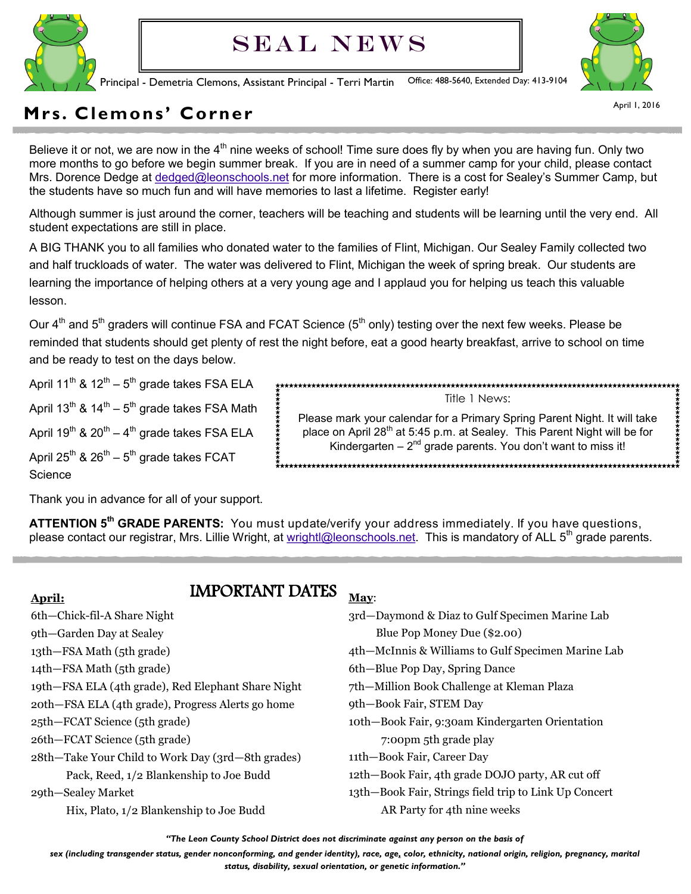

# SEAL NEWS



Principal - Demetria Clemons, Assistant Principal - Terri Martin Office: 488-5640, Extended Day: 413-9104

April 1, 2016

# **Mrs. Clemons' Corner**

Believe it or not, we are now in the  $4<sup>th</sup>$  nine weeks of school! Time sure does fly by when you are having fun. Only two more months to go before we begin summer break. If you are in need of a summer camp for your child, please contact Mrs. Dorence Dedge at [dedged@leonschools.net](mailto:dedged@leonschools.net) for more information. There is a cost for Sealey's Summer Camp, but the students have so much fun and will have memories to last a lifetime. Register early!

Although summer is just around the corner, teachers will be teaching and students will be learning until the very end. All student expectations are still in place.

A BIG THANK you to all families who donated water to the families of Flint, Michigan. Our Sealey Family collected two and half truckloads of water. The water was delivered to Flint, Michigan the week of spring break. Our students are learning the importance of helping others at a very young age and I applaud you for helping us teach this valuable lesson.

Our 4<sup>th</sup> and 5<sup>th</sup> graders will continue FSA and FCAT Science (5<sup>th</sup> only) testing over the next few weeks. Please be reminded that students should get plenty of rest the night before, eat a good hearty breakfast, arrive to school on time and be ready to test on the days below.

April 11 $^{\text{th}}$  & 12 $^{\text{th}}$  – 5 $^{\text{th}}$  grade takes FSA ELA

April 13<sup>th</sup> & 14<sup>th</sup> – 5<sup>th</sup> grade takes FSA Math

April 19 $^{\text{th}}$  & 20 $^{\text{th}}$  – 4 $^{\text{th}}$  grade takes FSA ELA

April 25<sup>th</sup> & 26<sup>th</sup> – 5<sup>th</sup> grade takes FCAT Science

Thank you in advance for all of your support.

**ATTENTION 5th GRADE PARENTS:** You must update/verify your address immediately. If you have questions, please contact our registrar, Mrs. Lillie Wright, at [wrightl@leonschools.net.](mailto:wrightl@leonschools.net) This is mandatory of ALL  $5<sup>th</sup>$  grade parents.

### **April:**

- IMPORTANT DATES
- 6th—Chick-fil-A Share Night
- 9th—Garden Day at Sealey
- 13th—FSA Math (5th grade)
- 14th—FSA Math (5th grade)
- 19th—FSA ELA (4th grade), Red Elephant Share Night
- 20th—FSA ELA (4th grade), Progress Alerts go home
- 25th—FCAT Science (5th grade)
- 26th—FCAT Science (5th grade)
- 28th—Take Your Child to Work Day (3rd—8th grades) Pack, Reed, 1/2 Blankenship to Joe Budd

29th—Sealey Market

Hix, Plato, 1/2 Blankenship to Joe Budd

#### **May**:

3rd—Daymond & Diaz to Gulf Specimen Marine Lab Blue Pop Money Due (\$2.00) 4th—McInnis & Williams to Gulf Specimen Marine Lab 6th—Blue Pop Day, Spring Dance 7th—Million Book Challenge at Kleman Plaza 9th—Book Fair, STEM Day 10th—Book Fair, 9:30am Kindergarten Orientation 7:00pm 5th grade play 11th—Book Fair, Career Day 12th—Book Fair, 4th grade DOJO party, AR cut off

Title 1 News: Please mark your calendar for a Primary Spring Parent Night. It will take place on April 28<sup>th</sup> at 5:45 p.m. at Sealey. This Parent Night will be for Kindergarten  $-2<sup>nd</sup>$  grade parents. You don't want to miss it!

13th—Book Fair, Strings field trip to Link Up Concert AR Party for 4th nine weeks

*"The Leon County School District does not discriminate against any person on the basis of*

*sex (including transgender status, gender nonconforming, and gender identity), race, age, color, ethnicity, national origin, religion, pregnancy, marital* 

*status, disability, sexual orientation, or genetic information."*